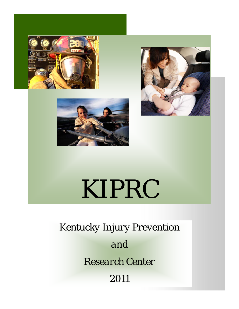





# KIPRC

*Kentucky Injury Prevention and Research Center 2011*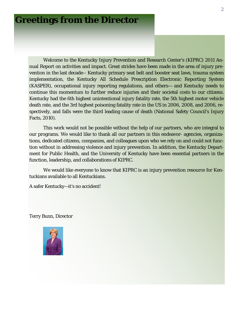### **Greetings from the Director**

 Welcome to the Kentucky Injury Prevention and Research Center's (KIPRC) 2011 Annual Report on activities and impact. Great strides have been made in the area of injury prevention in the last decade-- Kentucky primary seat belt and booster seat laws, trauma system implementation, the Kentucky All Schedule Prescription Electronic Reporting System (KASPER), occupational injury reporting regulations, and others— and Kentucky needs to continue this momentum to further reduce injuries and their societal costs to our citizens. Kentucky had the 6th highest unintentional injury fatality rate, the 5th highest motor vehicle death rate, and the 3rd highest poisoning fatality rate in the US in 2006, 2008, and 2006, respectively, and falls were the third leading cause of death (National Safety Council's Injury Facts, 2010).

 This work would not be possible without the help of our partners, who are integral to our programs. We would like to thank all our partners in this endeavor- agencies, organizations, dedicated citizens, companies, and colleagues upon who we rely on and could not function without in addressing violence and injury prevention. In addition, the Kentucky Department for Public Health, and the University of Kentucky have been essential partners in the function, leadership, and collaborations of KIPRC.

 We would like everyone to know that KIPRC is an injury prevention resource for Kentuckians available to all Kentuckians.

A safer Kentucky—it's no accident!

Terry Bunn, Director

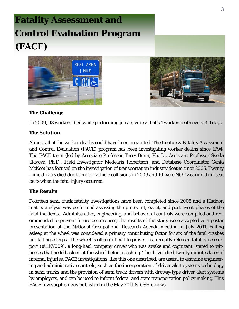# **Fatality Assessment and Control Evaluation Program (FACE)**





#### **The Challenge**

In 2009, 93 workers died while performing job activities; that's 1 worker death every 3.9 days.

#### **The Solution**

Almost all of the worker deaths could have been prevented. The Kentucky Fatality Assessment and Control Evaluation (FACE) program has been investigating worker deaths since 1994. The FACE team (led by Associate Professor Terry Bunn, Ph. D., Assistant Professor Svetla Slavova, Ph.D., Field Investigator Medearis Robertson, and Database Coordinator Genia McKee) has focused on the investigation of transportation industry deaths since 2005. Twenty -nine drivers died due to motor vehicle collisions in 2009 and 10 were NOT wearing their seat belts when the fatal injury occurred.

#### **The Results**

Fourteen semi truck fatality investigations have been completed since 2005 and a Haddon matrix analysis was performed assessing the pre-event, event, and post-event phases of the fatal incidents. Administrative, engineering, and behavioral controls were compiled and recommended to prevent future occurrences; the results of the study were accepted as a poster presentation at the National Occupational Research Agenda meeting in July 2011. Falling asleep at the wheel was considered a primary contributing factor for six of the fatal crashes but falling asleep at the wheel is often difficult to prove. In a recently released fatality case report (#11KY009), a long-haul company driver who was awake and cognizant, stated to witnesses that he fell asleep at the wheel before crashing. The driver died twenty minutes later of internal injuries. FACE investigations, like this one described, are useful to examine engineering and administrative controls, such as the incorporation of driver alert systems technology in semi trucks and the provision of semi truck drivers with drowsy-type driver alert systems by employers, and can be used to inform federal and state transportation policy making. This FACE investigation was published in the May 2011 NIOSH e-news.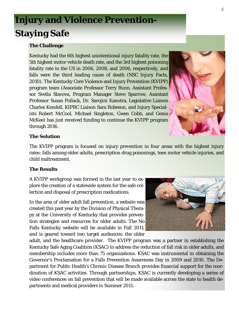# **Injury and Violence Prevention-Staying Safe**

#### **The Challenge**

Kentucky had the 6th highest unintentional injury fatality rate, the 5th highest motor vehicle death rate, and the 3rd highest poisoning fatality rate in the US in 2006, 2008, and 2006, respectively, and falls were the third leading cause of death (NSC Injury Facts, 2010). The Kentucky Core Violence and Injury Prevention (KVIPP) program team (Associate Professor Terry Bunn, Assistant Professor Svetla Slavova, Program Manager Steve Sparrow, Assistant Professor Susan Pollack, Dr. Sarojini Kanotra, Legislative Liaison Charles Kendell, KIPRC Liaison Sara Robeson, and Injury Specialists Robert McCool, Michael Singleton, Gwen Cobb, and Genia McKee) has just received funding to continue the KVIPP program through 2016.



#### **The Solution**

The KVIPP program is focused on injury prevention in four areas with the highest injury rates: falls among older adults, prescription drug poisonings, teen motor vehicle injuries, and child maltreatment.

#### **The Results**

A KVIPP workgroup was formed in the last year to explore the creation of a statewide system for the safe collection and disposal of prescription medications.

In the area of older adult fall prevention, a website was created this past year by the Division of Physical Therapy at the University of Kentucky that provides prevention strategies and resources for older adults. The No Falls Kentucky website will be available in Fall 2011, and is geared toward two target audiences: the older



adult, and the healthcare provider. The KVIPP program was a partner in establishing the Kentucky Safe Aging Coalition (KSAC) to address the reduction of fall risk in older adults, and membership includes more than 75 organizations. KSAC was instrumental in obtaining the Governor's Proclamation for a Falls Prevention Awareness Day in 2009 and 2010. The Department for Public Health's Chronic Disease Branch provides financial support for the coordination of KSAC activities. Through partnerships, KSAC is currently developing a series of video conferences on fall prevention that will be made available across the state to health departments and medical providers in Summer 2011.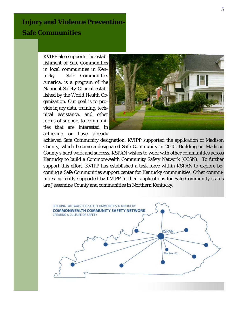### **Injury and Violence Prevention-Safe Communities**

KVIPP also supports the establishment of Safe Communities in local communities in Kentucky. Safe Communities America, is a program of the National Safety Council established by the World Health Organization. Our goal is to provide injury data, training, technical assistance, and other forms of support to communities that are interested in achieving or have already



achieved Safe Community designation. KVIPP supported the application of Madison County, which became a designated Safe Community in 2010. Building on Madison County's hard work and success, KSPAN wishes to work with other communities across Kentucky to build a Commonwealth Community Safety Network (CCSN). To further support this effort, KVIPP has established a task force within KSPAN to explore becoming a Safe Communities support center for Kentucky communities. Other communities currently supported by KVIPP in their applications for Safe Community status are Jessamine County and communities in Northern Kentucky.

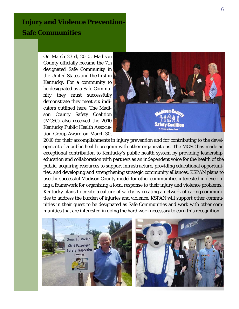### **Injury and Violence Prevention-Safe Communities**

On March 23rd, 2010, Madison County officially became the 7th designated Safe Community in the United States and the first in Kentucky. For a community to be designated as a Safe Community they must successfully demonstrate they meet six indicators outlined here. The Madison County Safety Coalition (MCSC) also received the 2010 Kentucky Public Health Association Group Award on March 30,



2010 for their accomplishments in injury prevention and for contributing to the development of a public health program with other organizations. The MCSC has made an exceptional contribution to Kentucky's public health system by providing leadership, education and collaboration with partners as an independent voice for the health of the public, acquiring resources to support infrastructure, providing educational opportunities, and developing and strengthening strategic community alliances. KSPAN plans to use the successful Madison County model for other communities interested in developing a framework for organizing a local response to their injury and violence problems.. Kentucky plans to create a culture of safety by creating a network of caring communities to address the burden of injuries and violence. KSPAN will support other communities in their quest to be designated as Safe Communities and work with other communities that are interested in doing the hard work necessary to earn this recognition.

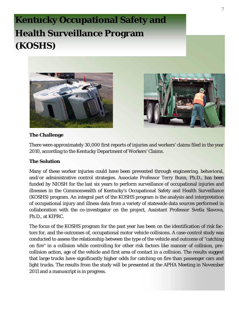# **Kentucky Occupational Safety and Health Surveillance Program (KOSHS)**





#### **The Challenge**

There were approximately 30,000 first reports of injuries and workers' claims filed in the year 2010, according to the Kentucky Department of Workers' Claims.

#### **The Solution**

Many of these worker injuries could have been prevented through engineering, behavioral, and/or administrative control strategies. Associate Professor Terry Bunn, Ph.D., has been funded by NIOSH for the last six years to perform surveillance of occupational injuries and illnesses in the Commonwealth of Kentucky's Occupational Safety and Health Surveillance (KOSHS) program. An integral part of the KOSHS program is the analysis and interpretation of occupational injury and illness data from a variety of statewide data sources performed in collaboration with the co-investigator on the project, Assistant Professor Svetla Slavova, Ph.D., at KIPRC.

The focus of the KOSHS program for the past year has been on the identification of risk factors for, and the outcomes of, occupational motor vehicle collisions. A case-control study was conducted to assess the relationship between the type of the vehicle and outcome of "catching on fire" in a collision while controlling for other risk factors like manner of collision, precollision action, age of the vehicle and first area of contact in a collision. The results suggest that large trucks have significantly higher odds for catching on fire than passenger cars and light trucks. The results from the study will be presented at the APHA Meeting in November 2011 and a manuscript is in progress.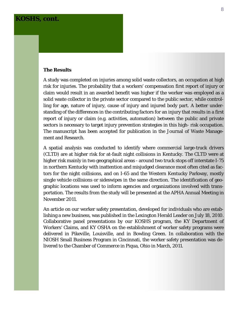#### **KOSHS, cont.**

#### **The Results**

A study was completed on injuries among solid waste collectors, an occupation at high risk for injuries. The probability that a workers' compensation first report of injury or claim would result in an awarded benefit was higher if the worker was employed as a solid waste collector in the private sector compared to the public sector, while controlling for age, nature of injury, cause of injury and injured body part. A better understanding of the differences in the contributing factors for an injury that results in a first report of injury or claim (e.g. activities, automation) between the public and private sectors is necessary to target injury prevention strategies in this high- risk occupation. The manuscript has been accepted for publication in the Journal of Waste Management and Research.

A spatial analysis was conducted to identify where commercial large-truck drivers (CLTD) are at higher risk for at-fault night collisions in Kentucky. The CLTD were at higher risk mainly in two geographical areas - around two truck stops off interstate I-75 in northern Kentucky with inattention and misjudged clearance most often cited as factors for the night collisions, and on I-65 and the Western Kentucky Parkway, mostly single vehicle collisions or sideswipes in the same direction. The identification of geographic locations was used to inform agencies and organizations involved with transportation. The results from the study will be presented at the APHA Annual Meeting in November 2011.

An article on our worker safety presentation, developed for individuals who are establishing a new business, was published in the Lexington Herald Leader on July 18, 2010. Collaborative panel presentations by our KOSHS program, the KY Department of Workers' Claims, and KY OSHA on the establishment of worker safety programs were delivered in Pikeville, Louisville, and in Bowling Green. In collaboration with the NIOSH Small Business Program in Cincinnati, the worker safety presentation was delivered to the Chamber of Commerce in Piqua, Ohio in March, 2011.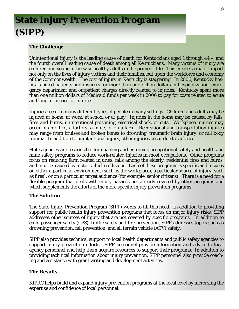# **State Injury Prevention Program (SIPP)**

#### **The Challenge**

Unintentional injury is the leading cause of death for Kentuckians aged 1 through 44 – and the fourth overall leading cause of death among all Kentuckians. Many victims of injury are children and young, otherwise healthy adults in the prime of life. This creates a major impact not only on the lives of injury victims and their families, but upon the workforce and economy of the Commonwealth. The cost of injury in Kentucky is staggering. In 2006, Kentucky hospitals billed patients and insurers for more than one billion dollars in hospitalization, emergency department and outpatient charges directly related to injuries. Kentucky spent more than one million dollars of Medicaid funds per week in 2006 to pay for costs related to acute and long term care for injuries.

Injuries occur to many different types of people in many settings. Children and adults may be injured at home, at work, at school or at play. Injuries in the home may be caused by falls, fires and burns, unintentional poisoning, electrical shock, or cuts. Workplace injuries may occur in an office, a factory, a mine, or on a farm. Recreational and transportation injuries may range from bruises and broken bones to drowning, traumatic brain injury, or full body trauma. In addition to unintentional injury, other injuries occur due to violence.

State agencies are responsible for enacting and enforcing occupational safety and health and mine safety programs to reduce work-related injuries in most occupations. Other programs focus on reducing farm related injuries, falls among the elderly, residential fires and burns, and injuries caused by motor vehicle collisions. Each of these programs is specific and focuses on either a particular environment (such as the workplace), a particular source of injury (such as fires), or on a particular target audience (for example, senior citizens). There is a need for a flexible program that deals with injury hazards not already covered by other programs and which supplements the efforts of the more specific injury prevention programs.

#### **The Solution**

The State Injury Prevention Program (SIPP) works to fill this need. In addition to providing support for public health injury prevention programs that focus on major injury risks, SIPP addresses other sources of injury that are not covered by specific programs. In addition to child passenger safety (CPS), traffic safety and fire prevention, SIPP addresses topics such as drowning prevention, fall prevention, and all terrain vehicle (ATV) safety.

SIPP also provides technical support to local health departments and public safety agencies to support injury prevention efforts. SIPP personnel provide information and advice to local agency personnel and help them acquire resources to support their programs. In addition to providing technical information about injury prevention, SIPP personnel also provide coaching and assistance with grant writing and development activities.

#### **The Results**

KIPRC helps build and expand injury prevention programs at the local level by increasing the expertise and confidence of local personnel.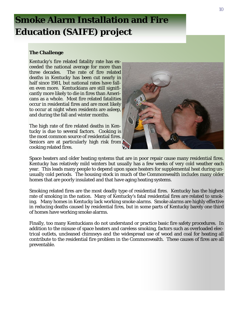## **Smoke Alarm Installation and Fire Education (SAIFE) project**

#### **The Challenge**

Kentucky's fire related fatality rate has exceeded the national average for more than three decades. The rate of fire related deaths in Kentucky has been cut nearly in half since 1981, but national rates have fallen even more. Kentuckians are still significantly more likely to die in fires than Americans as a whole. Most fire related fatalities occur in residential fires and are most likely to occur at night when residents are asleep, and during the fall and winter months.

The high rate of fire related deaths in Kentucky is due to several factors. Cooking is the most common source of residential fires. Seniors are at particularly high risk from cooking related fires.



Space heaters and older heating systems that are in poor repair cause many residential fires. Kentucky has relatively mild winters but usually has a few weeks of very cold weather each year. This leads many people to depend upon space heaters for supplemental heat during unusually cold periods. The housing stock in much of the Commonwealth includes many older homes that are poorly insulated and that have aging heating systems.

Smoking related fires are the most deadly type of residential fires. Kentucky has the highest rate of smoking in the nation. Many of Kentucky's fatal residential fires are related to smoking. Many homes in Kentucky lack working smoke alarms. Smoke alarms are highly effective in reducing deaths caused by residential fires, but in some parts of Kentucky barely one third of homes have working smoke alarms.

Finally, too many Kentuckians do not understand or practice basic fire safety procedures. In addition to the misuse of space heaters and careless smoking, factors such as overloaded electrical outlets, uncleaned chimneys and the widespread use of wood and coal for heating all contribute to the residential fire problem in the Commonwealth. These causes of fires are all preventable.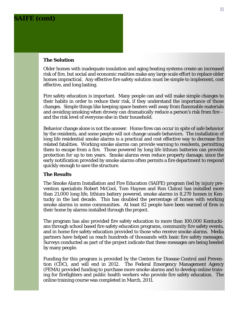### **SAIFE (cont)**

#### **The Solution**

Older homes with inadequate insulation and aging heating systems create an increased risk of fire, but social and economic realities make any large scale effort to replace older homes impractical. Any effective fire safety solution must be simple to implement, cost effective, and long lasting.

Fire safety education is important. Many people can and will make simple changes to their habits in order to reduce their risk, if they understand the importance of those changes. Simple things like keeping space heaters well away from flammable materials and avoiding smoking when drowsy can dramatically reduce a person's risk from fire – and the risk level of everyone else in their household.

Behavior change alone is not the answer. Home fires can occur in spite of safe behavior by the residents, and some people will not change unsafe behaviors. The installation of long life residential smoke alarms is a practical and cost effective way to decrease fire related fatalities. Working smoke alarms can provide warning to residents, permitting them to escape from a fire. Those powered by long life lithium batteries can provide protection for up to ten years. Smoke alarms even reduce property damage, since the early notification provided by smoke alarms often permits a fire department to respond quickly enough to save the structure.

#### **The Results**

The Smoke Alarm Installation and Fire Education (SAIFE) program (led by injury prevention specialists Robert McCool, Tom Haynes and Ron Clatos) has installed more than 21,000 long life, lithium battery powered, smoke alarms in 8,270 homes in Kentucky in the last decade. This has doubled the percentage of homes with working smoke alarms in some communities. At least 82 people have been warned of fires in their home by alarms installed through the project.

The program has also provided fire safety education to more than 100,000 Kentuckians through school based fire safety education programs, community fire safety events, and in home fire safety education provided to those who receive smoke alarms. Media partners have helped us reach hundreds of thousands with basic fire safety messages. Surveys conducted as part of the project indicate that these messages are being heeded by many people.

Funding for this program is provided by the Centers for Disease Control and Prevention (CDC), and will end in 2012. The Federal Emergency Management Agency (FEMA) provided funding to purchase more smoke alarms and to develop online training for firefighters and public health workers who provide fire safety education. The online training course was completed in March, 2011.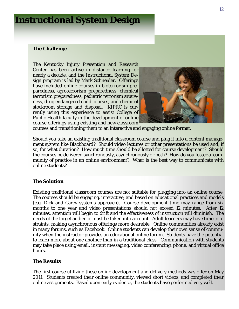### **Instructional System Design**

#### **The Challenge**

The Kentucky Injury Prevention and Research Center has been active in distance learning for nearly a decade, and the Instructional System Design program is led by Mark Schneider. Offerings have included online courses in bioterrorism preparedness, agroterrorism preparedness, chemical terrorism preparedness, pediatric terrorism awareness, drug endangered child courses, and chemical stockroom storage and disposal. KIPRC is currently using this experience to assist College of Public Health faculty in the development of online course offerings using existing and new classroom



courses and transitioning them to an interactive and engaging online format.

Should you take an existing traditional classroom course and plug it into a content management system like Blackboard? Should video lectures or other presentations be used and, if so, for what duration? How much time should be allotted for course development? Should the courses be delivered synchronously, asynchronously or both? How do you foster a community of practice in an online environment? What is the best way to communicate with online students?

#### **The Solution**

Existing traditional classroom courses are not suitable for plugging into an online course. The courses should be engaging, interactive, and based on educational practices and models (e.g. Dick and Carey systems approach). Course development time may range from six months to one year and video presentations should not exceed 12 minutes. After 12 minutes, attention will begin to drift and the effectiveness of instruction will diminish. The needs of the target audience must be taken into account. Adult learners may have time constraints, making asynchronous offerings more desirable. Online communities already exist in many forums, such as Facebook. Online students can develop their own sense of community when the instructor provides an educational online forum. Students have the potential to learn more about one another than in a traditional class. Communication with students may take place using email, instant messaging, video conferencing, phone, and virtual office hours.

#### **The Results**

The first course utilizing these online development and delivery methods was offer on May 2011. Students created their online community, viewed short videos, and completed their online assignments. Based upon early evidence, the students have performed very well.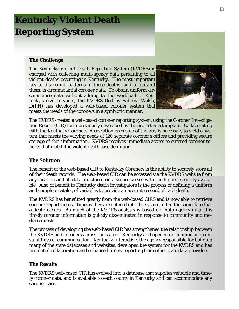# **Kentucky Violent Death Reporting System**

#### **The Challenge**

The Kentucky Violent Death Reporting System (KVDRS) is charged with collecting multi-agency data pertaining to all violent deaths occurring in Kentucky. The most important key to discerning patterns in these deaths, and to prevent them, is circumstantial coroner data. To obtain uniform circumstance data without adding to the workload of Kentucky's civil servants, the KVDRS (led by Sabrina Walsh, DrPH) has developed a web-based coroner system that meets the needs of the coroners in a symbiotic manner.



The KVDRS created a web-based coroner reporting system, using the Coroner Investigation Report (CIR) form previously developed by the project as a template. Collaborating with the Kentucky Coroners' Association each step of the way is necessary to yield a system that meets the varying needs of 120 separate coroner's offices and providing secure storage of their information. KVDRS receives immediate access to entered coroner reports that match the violent death case definition.

#### **The Solution**

The benefit of the web-based CIR to Kentucky Coroners is the ability to securely store all of their death records. The web-based CIR can be accessed via the KVDRS website from any location and all data are stored on a secure server with the highest security available. Also of benefit to Kentucky death investigators is the process of defining a uniform and complete catalog of variables to provide an accurate record of each death.

The KVDRS has benefitted greatly from the web-based CIRS and is now able to retrieve coroner reports in real time as they are entered into the system, often the same date that a death occurs. As much of the KVDRS analysis is based on multi-agency data, this timely coroner information is quickly disseminated in response to community and media requests.

The process of developing the web-based CIR has strengthened the relationship between the KVDRS and coroners across the state of Kentucky and opened up genuine and constant lines of communication. Kentucky Interactive, the agency responsible for building many of the state databases and websites, developed the system for the KVDRS and has promoted collaboration and enhanced timely reporting from other state data providers.

#### **The Results**

The KVDRS web-based CIR has evolved into a database that supplies valuable and timely coroner data, and is available to each county in Kentucky and can accommodate any coroner case.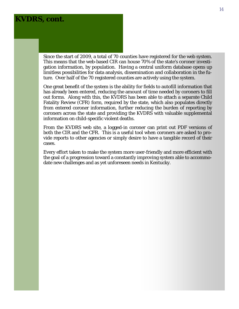#### **KVDRS, cont.**

Since the start of 2009, a total of 70 counties have registered for the web system. This means that the web-based CIR can house 70% of the state's coroner investigation information, by population. Having a central uniform database opens up limitless possibilities for data analysis, dissemination and collaboration in the future. Over half of the 70 registered counties are actively using the system.

One great benefit of the system is the ability for fields to autofill information that has already been entered, reducing the amount of time needed by coroners to fill out forms. Along with this, the KVDRS has been able to attach a separate Child Fatality Review (CFR) form, required by the state, which also populates directly from entered coroner information, further reducing the burden of reporting by coroners across the state and providing the KVDRS with valuable supplemental information on child-specific violent deaths.

From the KVDRS web site, a logged-in coroner can print out PDF versions of both the CIR and the CFR. This is a useful tool when coroners are asked to provide reports to other agencies or simply desire to have a tangible record of their cases.

Every effort taken to make the system more user-friendly and more efficient with the goal of a progression toward a constantly improving system able to accommodate new challenges and as yet unforeseen needs in Kentucky.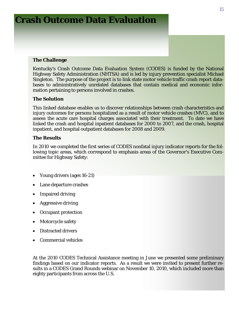### **Crash Outcome Data Evaluation**

#### **The Challenge**

Kentucky's Crash Outcome Data Evaluation System (CODES) is funded by the National Highway Safety Administration (NHTSA) and is led by injury prevention specialist Michael Singleton. The purpose of the project is to link state motor vehicle traffic crash report databases to administratively unrelated databases that contain medical and economic information pertaining to persons involved in crashes.

#### **The Solution**

This linked database enables us to discover relationships between crash characteristics and injury outcomes for persons hospitalized as a result of motor vehicle crashes (MVC), and to assess the acute care hospital charges associated with their treatment. To date we have linked the crash and hospital inpatient databases for 2000 to 2007, and the crash, hospital inpatient, and hospital outpatient databases for 2008 and 2009.

#### **The Results**

In 2010 we completed the first series of CODES nonfatal injury indicator reports for the following topic areas, which correspond to emphasis areas of the Governor's Executive Committee for Highway Safety:

- Young drivers (ages 16-21)
- Lane departure crashes
- Impaired driving
- Aggressive driving
- Occupant protection
- Motorcycle safety
- Distracted drivers
- Commercial vehicles

At the 2010 CODES Technical Assistance meeting in June we presented some preliminary findings based on our indicator reports. As a result we were invited to present further results in a CODES Grand Rounds webinar on November 10, 2010, which included more than eighty participants from across the U.S.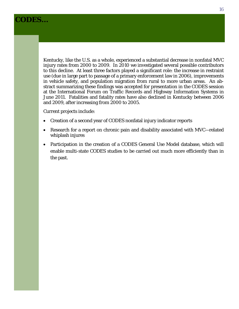### **CODES…**

Kentucky, like the U.S. as a whole, experienced a substantial decrease in nonfatal MVC injury rates from 2000 to 2009. In 2010 we investigated several possible contributors to this decline. At least three factors played a significant role: the increase in restraint use (due in large part to passage of a primary enforcement law in 2006), improvements in vehicle safety, and population migration from rural to more urban areas. An abstract summarizing these findings was accepted for presentation in the CODES session at the International Forum on Traffic Records and Highway Information Systems in June 2011. Fatalities and fatality rates have also declined in Kentucky between 2006 and 2009, after increasing from 2000 to 2005.

Current projects include:

- Creation of a second year of CODES nonfatal injury indicator reports
- Research for a report on chronic pain and disability associated with MVC—related whiplash injures
- Participation in the creation of a CODES General Use Model database, which will enable multi-state CODES studies to be carried out much more efficiently than in the past.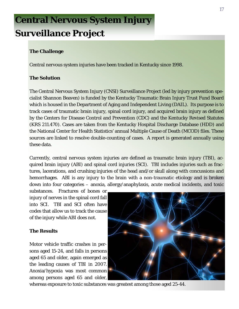# **Central Nervous System Injury Surveillance Project**

#### **The Challenge**

Central nervous system injuries have been tracked in Kentucky since 1998.

#### **The Solution**

The Central Nervous System Injury (CNSI) Surveillance Project (led by injury prevention specialist Shannon Beaven) is funded by the Kentucky Traumatic Brain Injury Trust Fund Board which is housed in the Department of Aging and Independent Living (DAIL). Its purpose is to track cases of traumatic brain injury, spinal cord injury, and acquired brain injury as defined by the Centers for Disease Control and Prevention (CDC) and the Kentucky Revised Statutes (KRS 211.470). Cases are taken from the Kentucky Hospital Discharge Database (HDD) and the National Center for Health Statistics' annual Multiple Cause of Death (MCOD) files. These sources are linked to resolve double-counting of cases. A report is generated annually using these data.

Currently, central nervous system injuries are defined as traumatic brain injury (TBI), acquired brain injury (ABI) and spinal cord injuries (SCI). TBI includes injuries such as fractures, lacerations, and crushing injuries of the head and/or skull along with concussions and hemorrhages. ABI is any injury to the brain with a non-traumatic etiology and is broken down into four categories – anoxia, allergy/anaphylaxis, acute medical incidents, and toxic

substances. Fractures of bones or injury of nerves in the spinal cord fall into SCI. TBI and SCI often have codes that allow us to track the cause of the injury while ABI does not.

#### **The Results**

Motor vehicle traffic crashes in persons aged 15-24, and falls in persons aged 65 and older, again emerged as the leading causes of TBI in 2007. Anoxia/hypoxia was most common among persons aged 65 and older,



whereas exposure to toxic substances was greatest among those aged 25-44.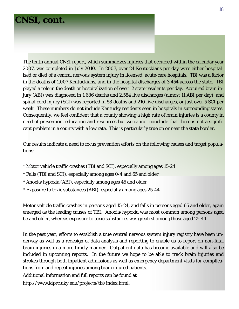### **CNSI, cont.**

The tenth annual CNSI report, which summarizes injuries that occurred within the calendar year 2007, was completed in July 2010. In 2007, over 24 Kentuckians per day were either hospitalized or died of a central nervous system injury in licensed, acute-care hospitals. TBI was a factor in the deaths of 1,007 Kentuckians, and in the hospital discharges of 3,454 across the state. TBI played a role in the death or hospitalization of over 12 state residents per day. Acquired brain injury (ABI) was diagnosed in 1,686 deaths and 2,584 live discharges (almost 11 ABI per day), and spinal cord injury (SCI) was reported in 58 deaths and 210 live discharges, or just over 5 SCI per week. These numbers do not include Kentucky residents seen in hospitals in surrounding states. Consequently, we feel confident that a county showing a high rate of brain injuries is a county in need of prevention, education and resources but we cannot conclude that there is not a significant problem in a county with a low rate. This is particularly true on or near the state border.

Our results indicate a need to focus prevention efforts on the following causes and target populations:

- \* Motor vehicle traffic crashes (TBI and SCI), especially among ages 15-24
- \* Falls (TBI and SCI), especially among ages 0-4 and 65 and older
- \* Anoxia/hypoxia (ABI), especially among ages 45 and older
- \* Exposure to toxic substances (ABI), especially among ages 25-44

Motor vehicle traffic crashes in persons aged 15-24, and falls in persons aged 65 and older, again emerged as the leading causes of TBI. Anoxia/hypoxia was most common among persons aged 65 and older, whereas exposure to toxic substances was greatest among those aged 25-44.

In the past year, efforts to establish a true central nervous system injury registry have been underway as well as a redesign of data analysis and reporting to enable us to report on non-fatal brain injuries in a more timely manner. Outpatient data has become available and will also be included in upcoming reports. In the future we hope to be able to track brain injuries and strokes through both inpatient admissions as well as emergency department visits for complications from and repeat injuries among brain injured patients.

Additional information and full reports can be found at

http://www.kiprc.uky.edu/projects/tbi/index.html.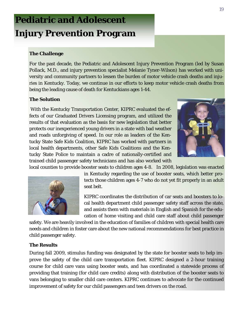# **Pediatric and Adolescent Injury Prevention Program**

#### **The Challenge**

For the past decade, the Pediatric and Adolescent Injury Prevention Program (led by Susan Pollack, M.D., and injury prevention specialist Melanie Tyner-Wilson) has worked with university and community partners to lessen the burden of motor vehicle crash deaths and injuries in Kentucky. Today, we continue in our efforts to keep motor vehicle crash deaths from being the leading cause of death for Kentuckians ages 1-44.

#### **The Solution**

With the Kentucky Transportation Center, KIPRC evaluated the effects of our Graduated Drivers Licensing program, and utilized the results of that evaluation as the basis for new legislation that better protects our inexperienced young drivers in a state with bad weather and roads unforgiving of speed. In our role as leaders of the Kentucky State Safe Kids Coalition, KIPRC has worked with partners in local health departments, other Safe Kids Coalitions and the Kentucky State Police to maintain a cadre of nationally-certified and trained child passenger safety technicians and has also worked with local counties to provide booster seats to children ages 4-8. In 2008, legislation was enacted





in Kentucky regarding the use of booster seats, which better protects those children ages 4-7 who do not yet fit properly in an adult seat belt.

KIPRC coordinates the distribution of car seats and boosters to local health department child passenger safety staff across the state, and assists them with materials in English and Spanish for the education of home visiting and child care staff about child passenger

safety. We are heavily involved in the education of families of children with special health care needs and children in foster care about the new national recommendations for best practice in child passenger safety.

#### **The Results**

During fall 2009, stimulus funding was designated by the state for booster seats to help improve the safety of the child care transportation fleet. KIPRC designed a 2-hour training course for child care vans using booster seats, and has coordinated a statewide process of providing that training (for child care credits) along with distribution of the booster seats to vans belonging to smaller child care centers. KIPRC continues to advocate for the continued improvement of safety for our child passengers and teen drivers on the road.